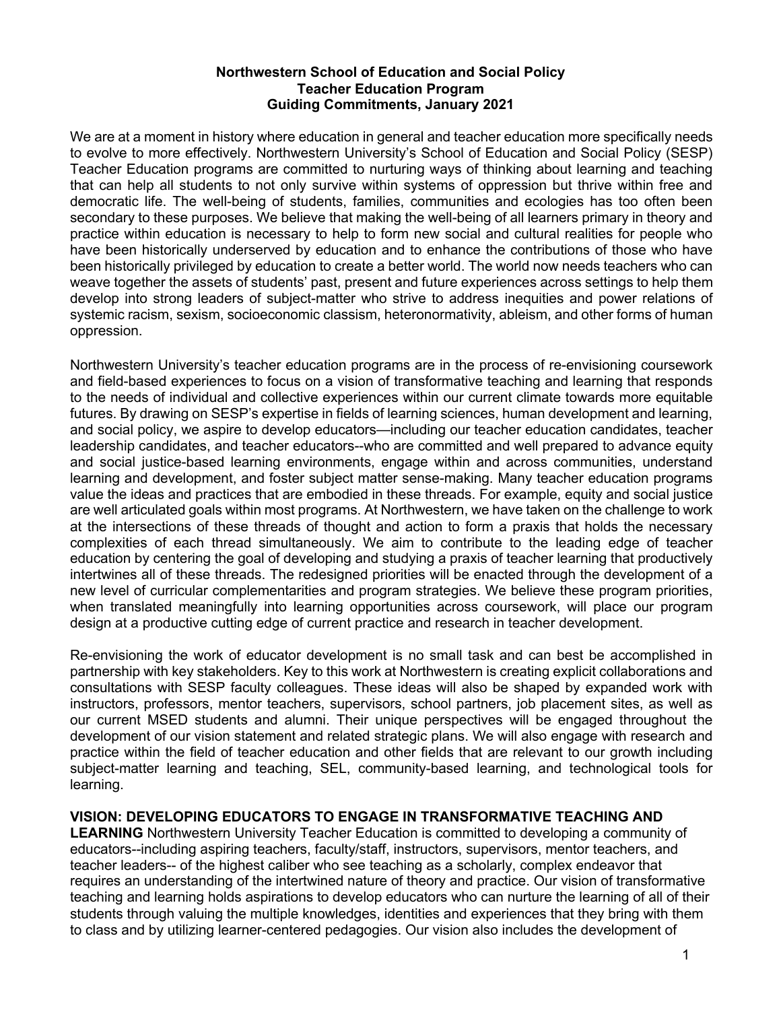## **Northwestern School of Education and Social Policy Teacher Education Program Guiding Commitments, January 2021**

We are at a moment in history where education in general and teacher education more specifically needs to evolve to more effectively. Northwestern University's School of Education and Social Policy (SESP) Teacher Education programs are committed to nurturing ways of thinking about learning and teaching that can help all students to not only survive within systems of oppression but thrive within free and democratic life. The well-being of students, families, communities and ecologies has too often been secondary to these purposes. We believe that making the well-being of all learners primary in theory and practice within education is necessary to help to form new social and cultural realities for people who have been historically underserved by education and to enhance the contributions of those who have been historically privileged by education to create a better world. The world now needs teachers who can weave together the assets of students' past, present and future experiences across settings to help them develop into strong leaders of subject-matter who strive to address inequities and power relations of systemic racism, sexism, socioeconomic classism, heteronormativity, ableism, and other forms of human oppression.

Northwestern University's teacher education programs are in the process of re-envisioning coursework and field-based experiences to focus on a vision of transformative teaching and learning that responds to the needs of individual and collective experiences within our current climate towards more equitable futures. By drawing on SESP's expertise in fields of learning sciences, human development and learning, and social policy, we aspire to develop educators—including our teacher education candidates, teacher leadership candidates, and teacher educators--who are committed and well prepared to advance equity and social justice-based learning environments, engage within and across communities, understand learning and development, and foster subject matter sense-making. Many teacher education programs value the ideas and practices that are embodied in these threads. For example, equity and social justice are well articulated goals within most programs. At Northwestern, we have taken on the challenge to work at the intersections of these threads of thought and action to form a praxis that holds the necessary complexities of each thread simultaneously. We aim to contribute to the leading edge of teacher education by centering the goal of developing and studying a praxis of teacher learning that productively intertwines all of these threads. The redesigned priorities will be enacted through the development of a new level of curricular complementarities and program strategies. We believe these program priorities, when translated meaningfully into learning opportunities across coursework, will place our program design at a productive cutting edge of current practice and research in teacher development.

Re-envisioning the work of educator development is no small task and can best be accomplished in partnership with key stakeholders. Key to this work at Northwestern is creating explicit collaborations and consultations with SESP faculty colleagues. These ideas will also be shaped by expanded work with instructors, professors, mentor teachers, supervisors, school partners, job placement sites, as well as our current MSED students and alumni. Their unique perspectives will be engaged throughout the development of our vision statement and related strategic plans. We will also engage with research and practice within the field of teacher education and other fields that are relevant to our growth including subject-matter learning and teaching, SEL, community-based learning, and technological tools for learning.

## **VISION: DEVELOPING EDUCATORS TO ENGAGE IN TRANSFORMATIVE TEACHING AND**

**LEARNING** Northwestern University Teacher Education is committed to developing a community of educators--including aspiring teachers, faculty/staff, instructors, supervisors, mentor teachers, and teacher leaders-- of the highest caliber who see teaching as a scholarly, complex endeavor that requires an understanding of the intertwined nature of theory and practice. Our vision of transformative teaching and learning holds aspirations to develop educators who can nurture the learning of all of their students through valuing the multiple knowledges, identities and experiences that they bring with them to class and by utilizing learner-centered pedagogies. Our vision also includes the development of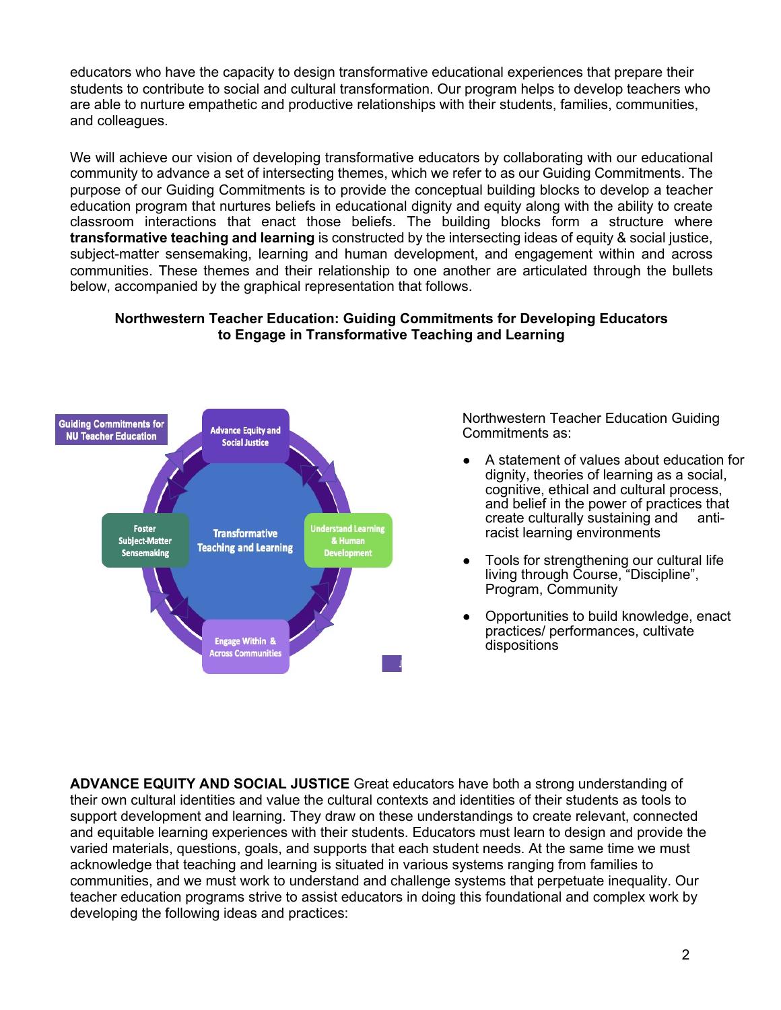educators who have the capacity to design transformative educational experiences that prepare their students to contribute to social and cultural transformation. Our program helps to develop teachers who are able to nurture empathetic and productive relationships with their students, families, communities, and colleagues.

We will achieve our vision of developing transformative educators by collaborating with our educational community to advance a set of intersecting themes, which we refer to as our Guiding Commitments. The purpose of our Guiding Commitments is to provide the conceptual building blocks to develop a teacher education program that nurtures beliefs in educational dignity and equity along with the ability to create classroom interactions that enact those beliefs. The building blocks form a structure where **transformative teaching and learning** is constructed by the intersecting ideas of equity & social justice, subject-matter sensemaking, learning and human development, and engagement within and across communities. These themes and their relationship to one another are articulated through the bullets below, accompanied by the graphical representation that follows.

## **Northwestern Teacher Education: Guiding Commitments for Developing Educators to Engage in Transformative Teaching and Learning**



Northwestern Teacher Education Guiding Commitments as:

- A statement of values about education for dignity, theories of learning as a social, cognitive, ethical and cultural process, and belief in the power of practices that create culturally sustaining and antiracist learning environments
- Tools for strengthening our cultural life living through Course, "Discipline", Program, Community
- Opportunities to build knowledge, enact practices/ performances, cultivate dispositions

**ADVANCE EQUITY AND SOCIAL JUSTICE** Great educators have both a strong understanding of their own cultural identities and value the cultural contexts and identities of their students as tools to support development and learning. They draw on these understandings to create relevant, connected and equitable learning experiences with their students. Educators must learn to design and provide the varied materials, questions, goals, and supports that each student needs. At the same time we must acknowledge that teaching and learning is situated in various systems ranging from families to communities, and we must work to understand and challenge systems that perpetuate inequality. Our teacher education programs strive to assist educators in doing this foundational and complex work by developing the following ideas and practices: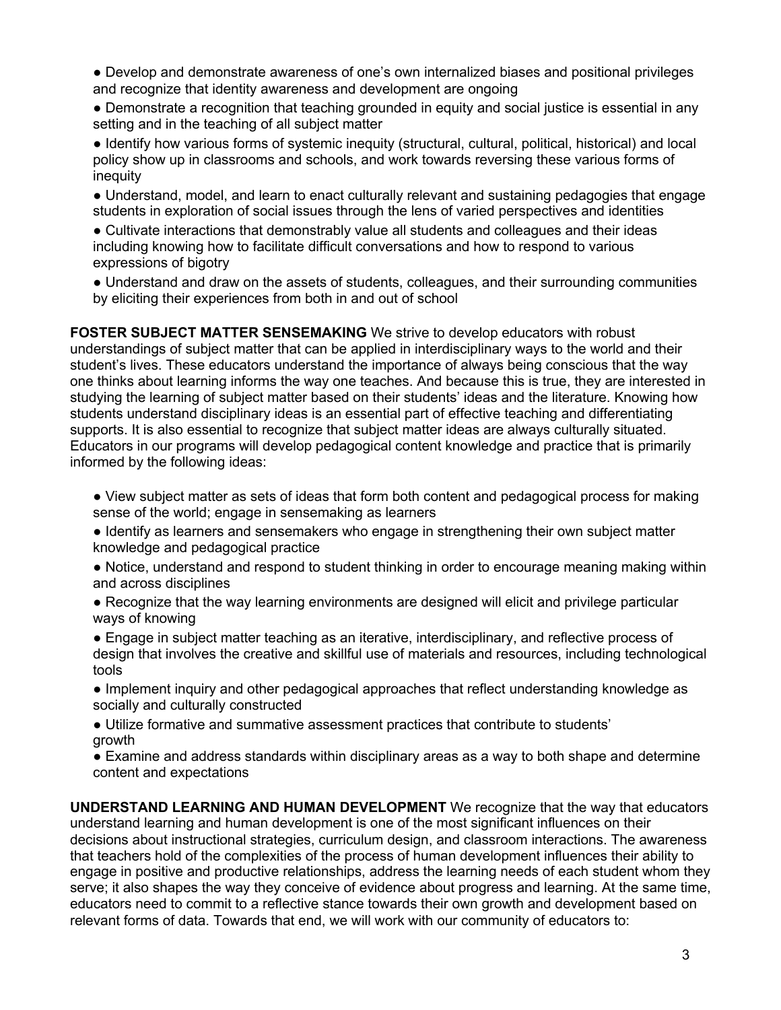● Develop and demonstrate awareness of one's own internalized biases and positional privileges and recognize that identity awareness and development are ongoing

• Demonstrate a recognition that teaching grounded in equity and social justice is essential in any setting and in the teaching of all subject matter

● Identify how various forms of systemic inequity (structural, cultural, political, historical) and local policy show up in classrooms and schools, and work towards reversing these various forms of inequity

● Understand, model, and learn to enact culturally relevant and sustaining pedagogies that engage students in exploration of social issues through the lens of varied perspectives and identities

● Cultivate interactions that demonstrably value all students and colleagues and their ideas including knowing how to facilitate difficult conversations and how to respond to various expressions of bigotry

● Understand and draw on the assets of students, colleagues, and their surrounding communities by eliciting their experiences from both in and out of school

**FOSTER SUBJECT MATTER SENSEMAKING** We strive to develop educators with robust understandings of subject matter that can be applied in interdisciplinary ways to the world and their student's lives. These educators understand the importance of always being conscious that the way one thinks about learning informs the way one teaches. And because this is true, they are interested in studying the learning of subject matter based on their students' ideas and the literature. Knowing how students understand disciplinary ideas is an essential part of effective teaching and differentiating supports. It is also essential to recognize that subject matter ideas are always culturally situated. Educators in our programs will develop pedagogical content knowledge and practice that is primarily informed by the following ideas:

• View subject matter as sets of ideas that form both content and pedagogical process for making sense of the world; engage in sensemaking as learners

● Identify as learners and sensemakers who engage in strengthening their own subject matter knowledge and pedagogical practice

● Notice, understand and respond to student thinking in order to encourage meaning making within and across disciplines

● Recognize that the way learning environments are designed will elicit and privilege particular ways of knowing

● Engage in subject matter teaching as an iterative, interdisciplinary, and reflective process of design that involves the creative and skillful use of materials and resources, including technological tools

● Implement inquiry and other pedagogical approaches that reflect understanding knowledge as socially and culturally constructed

● Utilize formative and summative assessment practices that contribute to students' growth

● Examine and address standards within disciplinary areas as a way to both shape and determine content and expectations

**UNDERSTAND LEARNING AND HUMAN DEVELOPMENT** We recognize that the way that educators understand learning and human development is one of the most significant influences on their decisions about instructional strategies, curriculum design, and classroom interactions. The awareness that teachers hold of the complexities of the process of human development influences their ability to engage in positive and productive relationships, address the learning needs of each student whom they serve; it also shapes the way they conceive of evidence about progress and learning. At the same time, educators need to commit to a reflective stance towards their own growth and development based on relevant forms of data. Towards that end, we will work with our community of educators to: